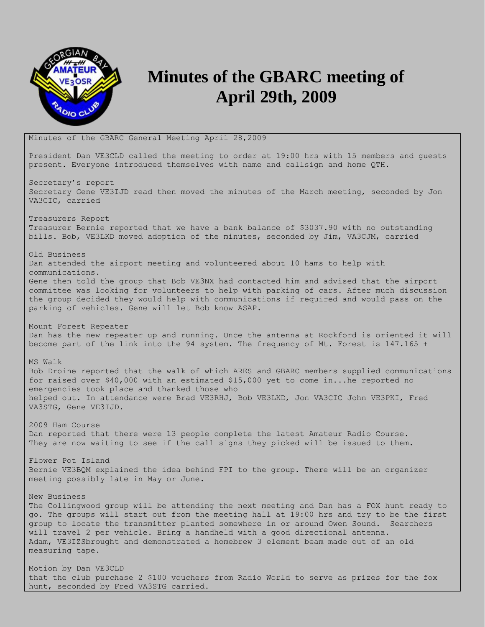

## **Minutes of the GBARC meeting of April 29th, 2009**

Minutes of the GBARC General Meeting April 28,2009

President Dan VE3CLD called the meeting to order at 19:00 hrs with 15 members and guests present. Everyone introduced themselves with name and callsign and home QTH.

Secretary's report Secretary Gene VE3IJD read then moved the minutes of the March meeting, seconded by Jon VA3CIC, carried

Treasurers Report Treasurer Bernie reported that we have a bank balance of \$3037.90 with no outstanding bills. Bob, VE3LKD moved adoption of the minutes, seconded by Jim, VA3CJM, carried

Old Business Dan attended the airport meeting and volunteered about 10 hams to help with communications. Gene then told the group that Bob VE3NX had contacted him and advised that the airport committee was looking for volunteers to help with parking of cars. After much discussion the group decided they would help with communications if required and would pass on the parking of vehicles. Gene will let Bob know ASAP.

Mount Forest Repeater Dan has the new repeater up and running. Once the antenna at Rockford is oriented it will become part of the link into the 94 system. The frequency of Mt. Forest is 147.165 +

MS Walk Bob Droine reported that the walk of which ARES and GBARC members supplied communications for raised over \$40,000 with an estimated \$15,000 yet to come in...he reported no emergencies took place and thanked those who helped out. In attendance were Brad VE3RHJ, Bob VE3LKD, Jon VA3CIC John VE3PKI, Fred VA3STG, Gene VE3IJD.

2009 Ham Course Dan reported that there were 13 people complete the latest Amateur Radio Course. They are now waiting to see if the call signs they picked will be issued to them.

Flower Pot Island Bernie VE3BQM explained the idea behind FPI to the group. There will be an organizer meeting possibly late in May or June.

New Business

The Collingwood group will be attending the next meeting and Dan has a FOX hunt ready to go. The groups will start out from the meeting hall at 19:00 hrs and try to be the first group to locate the transmitter planted somewhere in or around Owen Sound. Searchers will travel 2 per vehicle. Bring a handheld with a good directional antenna. Adam, VE3IZSbrought and demonstrated a homebrew 3 element beam made out of an old measuring tape.

Motion by Dan VE3CLD that the club purchase 2 \$100 vouchers from Radio World to serve as prizes for the fox hunt, seconded by Fred VA3STG carried.